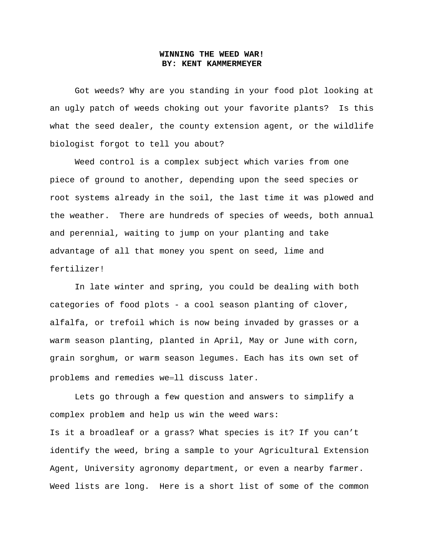## **WINNING THE WEED WAR! BY: KENT KAMMERMEYER**

Got weeds? Why are you standing in your food plot looking at an ugly patch of weeds choking out your favorite plants? Is this what the seed dealer, the county extension agent, or the wildlife biologist forgot to tell you about?

Weed control is a complex subject which varies from one piece of ground to another, depending upon the seed species or root systems already in the soil, the last time it was plowed and the weather. There are hundreds of species of weeds, both annual and perennial, waiting to jump on your planting and take advantage of all that money you spent on seed, lime and fertilizer!

In late winter and spring, you could be dealing with both categories of food plots - a cool season planting of clover, alfalfa, or trefoil which is now being invaded by grasses or a warm season planting, planted in April, May or June with corn, grain sorghum, or warm season legumes. Each has its own set of problems and remedies we=11 discuss later.

Lets go through a few question and answers to simplify a complex problem and help us win the weed wars:

Is it a broadleaf or a grass? What species is it? If you can't identify the weed, bring a sample to your Agricultural Extension Agent, University agronomy department, or even a nearby farmer. Weed lists are long. Here is a short list of some of the common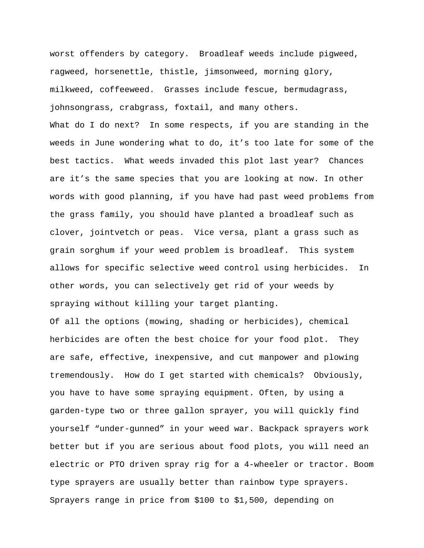worst offenders by category. Broadleaf weeds include pigweed, ragweed, horsenettle, thistle, jimsonweed, morning glory, milkweed, coffeeweed. Grasses include fescue, bermudagrass, johnsongrass, crabgrass, foxtail, and many others. What do I do next? In some respects, if you are standing in the weeds in June wondering what to do, it's too late for some of the best tactics. What weeds invaded this plot last year? Chances are it's the same species that you are looking at now. In other words with good planning, if you have had past weed problems from the grass family, you should have planted a broadleaf such as clover, jointvetch or peas. Vice versa, plant a grass such as grain sorghum if your weed problem is broadleaf. This system allows for specific selective weed control using herbicides. In other words, you can selectively get rid of your weeds by spraying without killing your target planting.

Of all the options (mowing, shading or herbicides), chemical herbicides are often the best choice for your food plot. They are safe, effective, inexpensive, and cut manpower and plowing tremendously. How do I get started with chemicals? Obviously, you have to have some spraying equipment. Often, by using a garden-type two or three gallon sprayer, you will quickly find yourself "under-gunned" in your weed war. Backpack sprayers work better but if you are serious about food plots, you will need an electric or PTO driven spray rig for a 4-wheeler or tractor. Boom type sprayers are usually better than rainbow type sprayers. Sprayers range in price from \$100 to \$1,500, depending on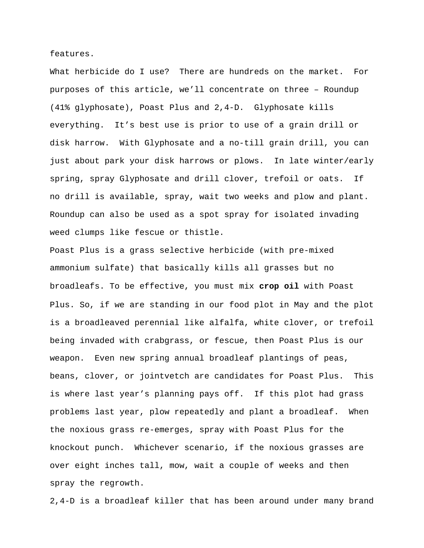features.

What herbicide do I use? There are hundreds on the market. For purposes of this article, we'll concentrate on three – Roundup (41% glyphosate), Poast Plus and 2,4-D. Glyphosate kills everything. It's best use is prior to use of a grain drill or disk harrow. With Glyphosate and a no-till grain drill, you can just about park your disk harrows or plows. In late winter/early spring, spray Glyphosate and drill clover, trefoil or oats. If no drill is available, spray, wait two weeks and plow and plant. Roundup can also be used as a spot spray for isolated invading weed clumps like fescue or thistle.

Poast Plus is a grass selective herbicide (with pre-mixed ammonium sulfate) that basically kills all grasses but no broadleafs. To be effective, you must mix **crop oil** with Poast Plus. So, if we are standing in our food plot in May and the plot is a broadleaved perennial like alfalfa, white clover, or trefoil being invaded with crabgrass, or fescue, then Poast Plus is our weapon. Even new spring annual broadleaf plantings of peas, beans, clover, or jointvetch are candidates for Poast Plus. This is where last year's planning pays off. If this plot had grass problems last year, plow repeatedly and plant a broadleaf. When the noxious grass re-emerges, spray with Poast Plus for the knockout punch. Whichever scenario, if the noxious grasses are over eight inches tall, mow, wait a couple of weeks and then spray the regrowth.

2,4-D is a broadleaf killer that has been around under many brand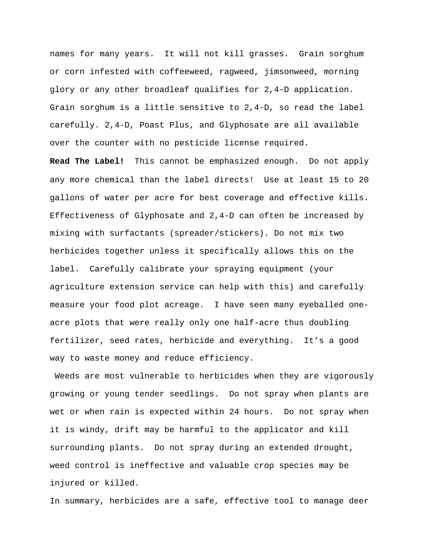names for many years. It will not kill grasses. Grain sorghum or corn infested with coffeeweed, ragweed, jimsonweed, morning glory or any other broadleaf qualifies for 2,4-D application. Grain sorghum is a little sensitive to 2,4-D, so read the label carefully. 2,4-D, Poast Plus, and Glyphosate are all available over the counter with no pesticide license required.

**Read The Label!** This cannot be emphasized enough. Do not apply any more chemical than the label directs! Use at least 15 to 20 gallons of water per acre for best coverage and effective kills. Effectiveness of Glyphosate and 2,4-D can often be increased by mixing with surfactants (spreader/stickers). Do not mix two herbicides together unless it specifically allows this on the label. Carefully calibrate your spraying equipment (your agriculture extension service can help with this) and carefully measure your food plot acreage. I have seen many eyeballed oneacre plots that were really only one half-acre thus doubling fertilizer, seed rates, herbicide and everything. It's a good way to waste money and reduce efficiency.

 Weeds are most vulnerable to herbicides when they are vigorously growing or young tender seedlings. Do not spray when plants are wet or when rain is expected within 24 hours. Do not spray when it is windy, drift may be harmful to the applicator and kill surrounding plants. Do not spray during an extended drought, weed control is ineffective and valuable crop species may be injured or killed.

In summary, herbicides are a safe, effective tool to manage deer